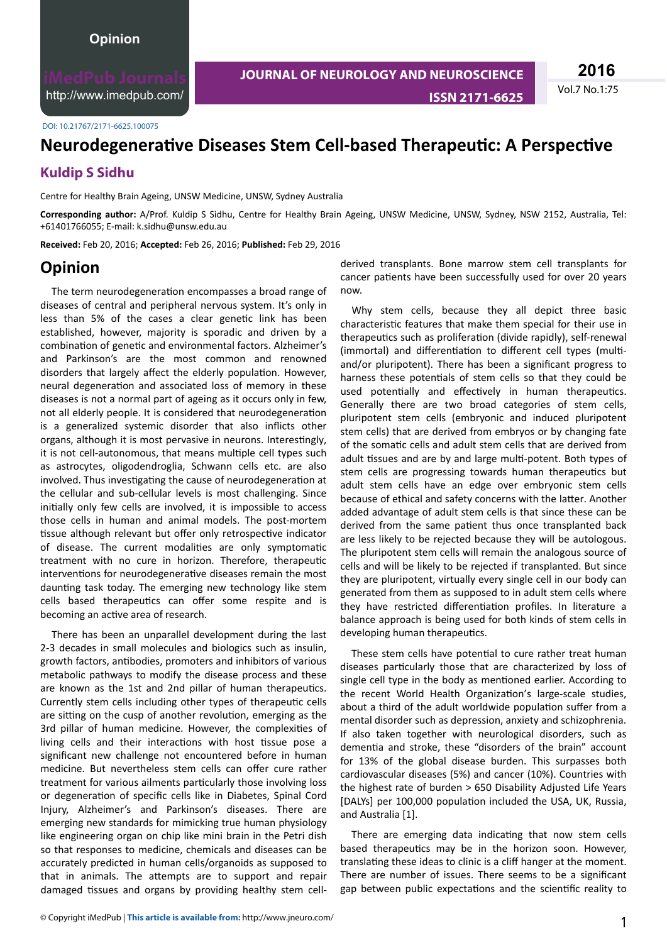<http://www.imedpub.com/>

**2016**

#### DOI: 10.21767/2171-6625.100075

# **Neurodegenerative Diseases Stem Cell-based Therapeutic: A Perspective**

### **Kuldip S Sidhu**

Centre for Healthy Brain Ageing, UNSW Medicine, UNSW, Sydney Australia

**Corresponding author:** A/Prof. Kuldip S Sidhu, Centre for Healthy Brain Ageing, UNSW Medicine, UNSW, Sydney, NSW 2152, Australia, Tel: +61401766055; E-mail: k.sidhu@unsw.edu.au

**Received:** Feb 20, 2016; **Accepted:** Feb 26, 2016; **Published:** Feb 29, 2016

### **Opinion**

The term neurodegeneration encompasses a broad range of diseases of central and peripheral nervous system. It's only in less than 5% of the cases a clear genetic link has been established, however, majority is sporadic and driven by a combination of genetic and environmental factors. Alzheimer's and Parkinson's are the most common and renowned disorders that largely affect the elderly population. However, neural degeneration and associated loss of memory in these diseases is not a normal part of ageing as it occurs only in few, not all elderly people. It is considered that neurodegeneration is a generalized systemic disorder that also inflicts other organs, although it is most pervasive in neurons. Interestingly, it is not cell-autonomous, that means multiple cell types such as astrocytes, oligodendroglia, Schwann cells etc. are also involved. Thus investigating the cause of neurodegeneration at the cellular and sub-cellular levels is most challenging. Since initially only few cells are involved, it is impossible to access those cells in human and animal models. The post-mortem tissue although relevant but offer only retrospective indicator of disease. The current modalities are only symptomatic treatment with no cure in horizon. Therefore, therapeutic interventions for neurodegenerative diseases remain the most daunting task today. The emerging new technology like stem cells based therapeutics can offer some respite and is becoming an active area of research.

There has been an unparallel development during the last 2-3 decades in small molecules and biologics such as insulin, growth factors, antibodies, promoters and inhibitors of various metabolic pathways to modify the disease process and these are known as the 1st and 2nd pillar of human therapeutics. Currently stem cells including other types of therapeutic cells are sitting on the cusp of another revolution, emerging as the 3rd pillar of human medicine. However, the complexities of living cells and their interactions with host tissue pose a significant new challenge not encountered before in human medicine. But nevertheless stem cells can offer cure rather treatment for various ailments particularly those involving loss or degeneration of specific cells like in Diabetes, Spinal Cord Injury, Alzheimer's and Parkinson's diseases. There are emerging new standards for mimicking true human physiology like engineering organ on chip like mini brain in the Petri dish so that responses to medicine, chemicals and diseases can be accurately predicted in human cells/organoids as supposed to that in animals. The attempts are to support and repair damaged tissues and organs by providing healthy stem cellderived transplants. Bone marrow stem cell transplants for cancer patients have been successfully used for over 20 years now.

Why stem cells, because they all depict three basic characteristic features that make them special for their use in therapeutics such as proliferation (divide rapidly), self-renewal (immortal) and differentiation to different cell types (multiand/or pluripotent). There has been a significant progress to harness these potentials of stem cells so that they could be used potentially and effectively in human therapeutics. Generally there are two broad categories of stem cells, pluripotent stem cells (embryonic and induced pluripotent stem cells) that are derived from embryos or by changing fate of the somatic cells and adult stem cells that are derived from adult tissues and are by and large multi-potent. Both types of stem cells are progressing towards human therapeutics but adult stem cells have an edge over embryonic stem cells because of ethical and safety concerns with the latter. Another added advantage of adult stem cells is that since these can be derived from the same patient thus once transplanted back are less likely to be rejected because they will be autologous. The pluripotent stem cells will remain the analogous source of cells and will be likely to be rejected if transplanted. But since they are pluripotent, virtually every single cell in our body can generated from them as supposed to in adult stem cells where they have restricted differentiation profiles. In literature a balance approach is being used for both kinds of stem cells in developing human therapeutics.

These stem cells have potential to cure rather treat human diseases particularly those that are characterized by loss of single cell type in the body as mentioned earlier. According to the recent World Health Organization's large-scale studies, about a third of the adult worldwide population suffer from a mental disorder such as depression, anxiety and schizophrenia. If also taken together with neurological disorders, such as dementia and stroke, these "disorders of the brain" account for 13% of the global disease burden. This surpasses both cardiovascular diseases (5%) and cancer (10%). Countries with the highest rate of burden > 650 Disability Adjusted Life Years [DALYs] per 100,000 population included the USA, UK, Russia, and Australia [1].

There are emerging data indicating that now stem cells based therapeutics may be in the horizon soon. However, translating these ideas to clinic is a cliff hanger at the moment. There are number of issues. There seems to be a significant gap between public expectations and the scientific reality to